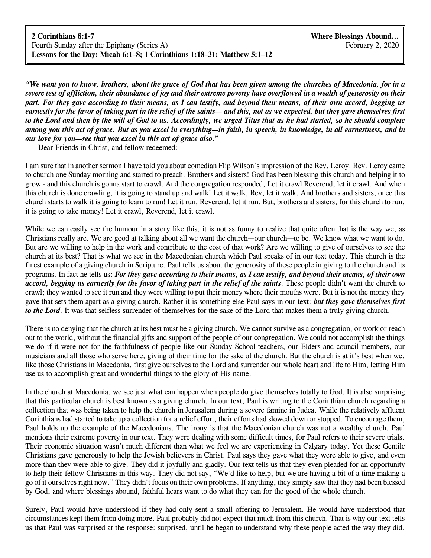**2 Corinthians 8:1-7 Where Blessings Abound...** Fourth Sunday after the Epiphany (Series A) February 2, 2020 **Lessons for the Day: Micah 6:1–8; 1 Corinthians 1:18–31; Matthew 5:1–12**

*"We want you to know, brothers, about the grace of God that has been given among the churches of Macedonia, for in a* severe test of affliction, their abundance of joy and their extreme poverty have overflowed in a wealth of generosity on their part. For they gave according to their means, as I can testify, and beyond their means, of their own accord, begging us earnestly for the favor of taking part in the relief of the saints— and this, not as we expected, but they gave themselves first to the Lord and then by the will of God to us. Accordingly, we urged Titus that as he had started, so he should complete *among you this act of grace. But as you excel in everything—in faith, in speech, in knowledge, in all earnestness, and in our love for you—see that you excel in this act of grace also.*"

Dear Friends in Christ, and fellow redeemed:

I am sure that in another sermon I have told you about comedian Flip Wilson's impression of the Rev. Leroy. Rev. Leroy came to church one Sunday morning and started to preach. Brothers and sisters! God has been blessing this church and helping it to grow - and this church is gonna start to crawl. And the congregation responded, Let it crawl Reverend, let it crawl. And when this church is done crawling, it is going to stand up and walk! Let it walk, Rev, let it walk. And brothers and sisters, once this church starts to walk it is going to learn to run! Let it run, Reverend, let it run. But, brothers and sisters, for this church to run, it is going to take money! Let it crawl, Reverend, let it crawl.

While we can easily see the humour in a story like this, it is not as funny to realize that quite often that is the way we, as Christians really are. We are good at talking about all we want the church—our church—to be. We know what we want to do. But are we willing to help in the work and contribute to the cost of that work? Are we willing to give of ourselves to see the church at its best? That is what we see in the Macedonian church which Paul speaks of in our text today. This church is the finest example of a giving church in Scripture. Paul tells us about the generosity of these people in giving to the church and its programs. In fact he tells us: For they gave according to their means, as I can testify, and beyond their means, of their own *accord, begging us earnestly for the favor of taking part in the relief of the saints*. These people didn't want the church to crawl; they wanted to see it run and they were willing to put their money where their mouths were. But it is not the money they gave that sets them apart as a giving church. Rather it is something else Paul says in our text: *but they gave themselves first to the Lord*. It was that selfless surrender of themselves for the sake of the Lord that makes them a truly giving church.

There is no denying that the church at its best must be a giving church. We cannot survive as a congregation, or work or reach out to the world, without the financial gifts and support of the people of our congregation. We could not accomplish the things we do if it were not for the faithfulness of people like our Sunday School teachers, our Elders and council members, our musicians and all those who serve here, giving of their time for the sake of the church. But the church is at it's best when we, like those Christians in Macedonia, first give ourselves to the Lord and surrender our whole heart and life to Him, letting Him use us to accomplish great and wonderful things to the glory of His name.

In the church at Macedonia, we see just what can happen when people do give themselves totally to God. It is also surprising that this particular church is best known as a giving church. In our text, Paul is writing to the Corinthian church regarding a collection that was being taken to help the church in Jerusalem during a severe famine in Judea. While the relatively affluent Corinthians had started to take up a collection for a relief effort, their efforts had slowed down or stopped. To encourage them, Paul holds up the example of the Macedonians. The irony is that the Macedonian church was not a wealthy church. Paul mentions their extreme poverty in our text. They were dealing with some difficult times, for Paul refers to their severe trials. Their economic situation wasn't much different than what we feel we are experiencing in Calgary today. Yet these Gentile Christians gave generously to help the Jewish believers in Christ. Paul says they gave what they were able to give, and even more than they were able to give. They did it joyfully and gladly. Our text tells us that they even pleaded for an opportunity to help their fellow Christians in this way. They did not say, "We'd like to help, but we are having a bit of a time making a go of it ourselves right now." They didn't focus on their own problems. If anything, they simply saw that they had been blessed by God, and where blessings abound, faithful hears want to do what they can for the good of the whole church.

Surely, Paul would have understood if they had only sent a small offering to Jerusalem. He would have understood that circumstances kept them from doing more. Paul probably did not expect that much from this church. That is why our text tells us that Paul was surprised at the response: surprised, until he began to understand why these people acted the way they did.